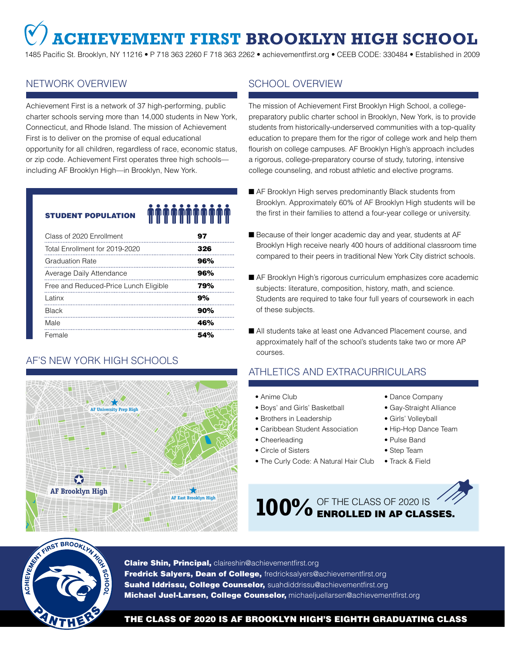# **ACHIEVEMENT FIRST BROOKLYN HIGH SCHOOL**

1485 Pacific St. Brooklyn, NY 11216 • P 718 363 2260 F 718 363 2262 • achievementfirst.org • CEEB CODE: 330484 • Established in 2009

# NETWORK OVERVIEW

Achievement First is a network of 37 high-performing, public charter schools serving more than 14,000 students in New York, Connecticut, and Rhode Island. The mission of Achievement First is to deliver on the promise of equal educational opportunity for all children, regardless of race, economic status, or zip code. Achievement First operates three high schools including AF Brooklyn High—in Brooklyn, New York.

#### STUDENT POPULATION

# `^^^^^^^^^^

| Class of 2020 Enrollment              | 97  |
|---------------------------------------|-----|
| Total Enrollment for 2019-2020        | 326 |
| Graduation Rate                       | 96% |
| Average Daily Attendance              | 96% |
| Free and Reduced-Price Lunch Eligible | 79% |
| Latinx                                | 9%  |
| <b>Black</b>                          | 90% |
| Male                                  | 46% |
| Female                                | 54% |

# AF'S NEW YORK HIGH SCHOOLS



# SCHOOL OVERVIEW

The mission of Achievement First Brooklyn High School, a collegepreparatory public charter school in Brooklyn, New York, is to provide students from historically-underserved communities with a top-quality education to prepare them for the rigor of college work and help them flourish on college campuses. AF Brooklyn High's approach includes a rigorous, college-preparatory course of study, tutoring, intensive college counseling, and robust athletic and elective programs.

- AF Brooklyn High serves predominantly Black students from Brooklyn. Approximately 60% of AF Brooklyn High students will be the first in their families to attend a four-year college or university.
- Because of their longer academic day and year, students at AF Brooklyn High receive nearly 400 hours of additional classroom time compared to their peers in traditional New York City district schools.
- AF Brooklyn High's rigorous curriculum emphasizes core academic subjects: literature, composition, history, math, and science. Students are required to take four full years of coursework in each of these subjects.
- All students take at least one Advanced Placement course, and approximately half of the school's students take two or more AP courses.

# ATHLETICS AND EXTRACURRICULARS

- Anime Club
- Boys' and Girls' Basketball
- Brothers in Leadership
- Caribbean Student Association
- Cheerleading
- Circle of Sisters
- The Curly Code: A Natural Hair Club
- Dance Company
- Gay-Straight Alliance
- Girls' Volleyball
- Hip-Hop Dance Team
- Pulse Band
- Step Team
- Track & Field



AND REST BROOMING

Claire Shin, Principal, claireshin@achievementfirst.org Fredrick Salyers, Dean of College, fredricksalyers@achievementfirst.org Suahd Iddrissu, College Counselor, suahdiddrissu@achievementfirst.org Michael Juel-Larsen, College Counselor, michaeljuellarsen@achievementfirst.org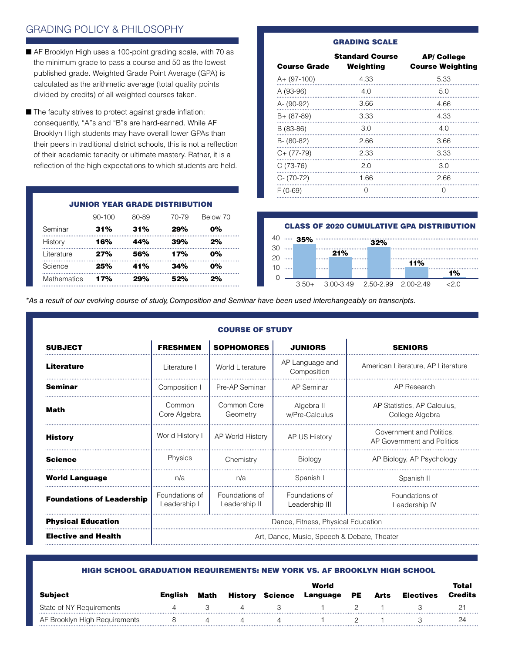## GRADING POLICY & PHILOSOPHY

- AF Brooklyn High uses a 100-point grading scale, with 70 as the minimum grade to pass a course and 50 as the lowest published grade. Weighted Grade Point Average (GPA) is calculated as the arithmetic average (total quality points divided by credits) of all weighted courses taken.
- The faculty strives to protect against grade inflation; consequently, "A"s and "B"s are hard-earned. While AF Brooklyn High students may have overall lower GPAs than their peers in traditional district schools, this is not a reflection of their academic tenacity or ultimate mastery. Rather, it is a reflection of the high expectations to which students are held.

#### GRADING SCALE

| <b>Course Grade</b> | <b>Standard Course</b><br>Weighting | <b>AP/College</b><br><b>Course Weighting</b> |
|---------------------|-------------------------------------|----------------------------------------------|
| $A + (97-100)$      | 4.33                                | 5.33                                         |
| A (93-96)           | 4.0                                 | 5.0                                          |
| A- (90-92)          | 3.66                                | 4.66                                         |
| $B + (87-89)$       | 3.33                                | 4.33                                         |
| B (83-86)           | 3.0                                 | 4.0                                          |
| $B - (80-82)$       | 2.66                                | 3.66                                         |
| $C+ (77-79)$        | 2.33                                | 3.33                                         |
| $C(73-76)$          | 2.0                                 | 3.0                                          |
| $C - (70-72)$       | 1.66                                | 2.66                                         |
| $F(0-69)$           | ( )                                 |                                              |

|             | $90 - 100$ | 80-89 | 70-79 | Below 70 |  |
|-------------|------------|-------|-------|----------|--|
| Seminar     | 31%        | 31%   | 29%   | $0\%$    |  |
| History     | 16%        | 44%   | 39%   | 2%       |  |
| Literature  | 27%        | 56%   | 17%   | 0%       |  |
| Science     | 25%        | 41%   | 34%   | $0\%$    |  |
| Mathematics | 17%        | 29%   | 52%   | 2%       |  |

JUNIOR YEAR GRADE DISTRIBUTION

#### CLASS OF 2020 CUMULATIVE GPA DISTRIBUTION



*\*As a result of our evolving course of study, Composition and Seminar have been used interchangeably on transcripts.*

| <b>COURSE OF STUDY</b>           |                                             |                                 |                                  |                                                        |  |  |
|----------------------------------|---------------------------------------------|---------------------------------|----------------------------------|--------------------------------------------------------|--|--|
| <b>SUBJECT</b>                   | <b>FRESHMEN</b>                             | <b>SOPHOMORES</b>               | <b>JUNIORS</b>                   | <b>SENIORS</b>                                         |  |  |
| <b>Literature</b>                | Literature I                                | World Literature                | AP Language and<br>Composition   | American Literature, AP Literature                     |  |  |
| <b>Seminar</b>                   | Composition I                               | Pre-AP Seminar                  | AP Seminar                       | AP Research                                            |  |  |
| Math                             | Common<br>Core Algebra                      | Common Core<br>Geometry         | Algebra II<br>w/Pre-Calculus     | AP Statistics, AP Calculus,<br>College Algebra         |  |  |
| <b>History</b>                   | World History I                             | AP World History                | AP US History                    | Government and Politics.<br>AP Government and Politics |  |  |
| <b>Science</b>                   | Physics                                     | Chemistry                       | <b>Biology</b>                   | AP Biology, AP Psychology                              |  |  |
| <b>World Language</b>            | n/a                                         | n/a                             | Spanish I                        | Spanish II                                             |  |  |
| <b>Foundations of Leadership</b> | Foundations of<br>Leadership I              | Foundations of<br>Leadership II | Foundations of<br>Leadership III | Foundations of<br>Leadership IV                        |  |  |
| <b>Physical Education</b>        | Dance, Fitness, Physical Education          |                                 |                                  |                                                        |  |  |
| <b>Elective and Health</b>       | Art, Dance, Music, Speech & Debate, Theater |                                 |                                  |                                                        |  |  |

#### HIGH SCHOOL GRADUATION REQUIREMENTS: NEW YORK VS. AF BROOKLYN HIGH SCHOOL

|                               |                |      |         |         | World       |      |                  | Total   |
|-------------------------------|----------------|------|---------|---------|-------------|------|------------------|---------|
| Subject                       | <b>English</b> | Math | History | Science | Language PE | Arts | <b>Electives</b> | Credits |
| State of NY Requirements      |                |      |         |         |             |      |                  |         |
| AF Brooklyn High Requirements |                |      |         |         |             |      |                  | ンム      |